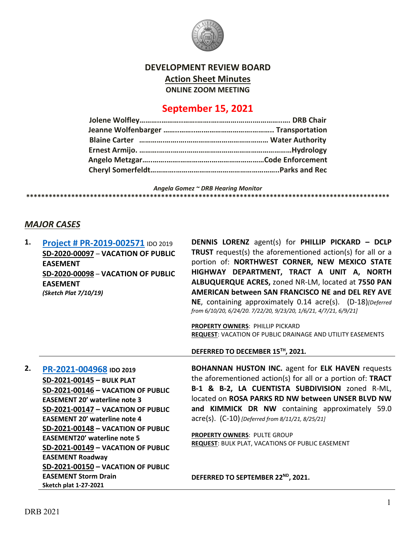

## **DEVELOPMENT REVIEW BOARD Action Sheet Minutes ONLINE ZOOM MEETING**

## **September 15, 2021**

*Angela Gomez ~ DRB Hearing Monitor* **\*\*\*\*\*\*\*\*\*\*\*\*\*\*\*\*\*\*\*\*\*\*\*\*\*\*\*\*\*\*\*\*\*\*\*\*\*\*\*\*\*\*\*\*\*\*\*\*\*\*\*\*\*\*\*\*\*\*\*\*\*\*\*\*\*\*\*\*\*\*\*\*\*\*\*\*\*\*\*\*\*\*\*\*\*\*\*\*\*\*\*\*\*\*\*\*\***

**DENNIS LORENZ** agent(s) for **PHILLIP PICKARD – DCLP** 

## *MAJOR CASES*

**1. [Project # PR-2019-002571](http://data.cabq.gov/government/planning/DRB/PR-2019-002571/DRB%20Submittals/)** IDO 2019

|    | <b>FIDIELL # FR-ZULJ-00ZJ/LIDO 2019</b><br>SD-2020-00097 - VACATION OF PUBLIC<br><b>EASEMENT</b><br>SD-2020-00098 - VACATION OF PUBLIC<br><b>EASEMENT</b><br>(Sketch Plat 7/10/19) | $\sim$<br>TRUST request(s) the aforementioned action(s) for all or a<br>portion of: NORTHWEST CORNER, NEW MEXICO STATE<br>HIGHWAY DEPARTMENT, TRACT A UNIT A, NORTH<br>ALBUQUERQUE ACRES, zoned NR-LM, located at 7550 PAN<br>AMERICAN between SAN FRANCISCO NE and DEL REY AVE<br>NE, containing approximately 0.14 acre(s). (D-18)[Deferred<br>from 6/10/20, 6/24/20. 7/22/20, 9/23/20, 1/6/21, 4/7/21, 6/9/21]<br><b>PROPERTY OWNERS: PHILLIP PICKARD</b><br>REQUEST: VACATION OF PUBLIC DRAINAGE AND UTILITY EASEMENTS<br>DEFERRED TO DECEMBER 15™, 2021. |
|----|------------------------------------------------------------------------------------------------------------------------------------------------------------------------------------|---------------------------------------------------------------------------------------------------------------------------------------------------------------------------------------------------------------------------------------------------------------------------------------------------------------------------------------------------------------------------------------------------------------------------------------------------------------------------------------------------------------------------------------------------------------|
|    |                                                                                                                                                                                    |                                                                                                                                                                                                                                                                                                                                                                                                                                                                                                                                                               |
| 2. | PR-2021-004968 IDO 2019                                                                                                                                                            | <b>BOHANNAN HUSTON INC.</b> agent for ELK HAVEN requests                                                                                                                                                                                                                                                                                                                                                                                                                                                                                                      |
|    | SD-2021-00145 - BULK PLAT                                                                                                                                                          | the aforementioned action(s) for all or a portion of: TRACT                                                                                                                                                                                                                                                                                                                                                                                                                                                                                                   |
|    | SD-2021-00146 - VACATION OF PUBLIC                                                                                                                                                 | B-1 & B-2, LA CUENTISTA SUBDIVISION zoned R-ML,                                                                                                                                                                                                                                                                                                                                                                                                                                                                                                               |
|    | <b>EASEMENT 20' waterline note 3</b>                                                                                                                                               | located on ROSA PARKS RD NW between UNSER BLVD NW                                                                                                                                                                                                                                                                                                                                                                                                                                                                                                             |
|    | SD-2021-00147 - VACATION OF PUBLIC                                                                                                                                                 | and KIMMICK DR NW containing approximately 59.0                                                                                                                                                                                                                                                                                                                                                                                                                                                                                                               |
|    | <b>EASEMENT 20' waterline note 4</b>                                                                                                                                               | acre(s). (C-10) [Deferred from 8/11/21, 8/25/21]                                                                                                                                                                                                                                                                                                                                                                                                                                                                                                              |
|    | SD-2021-00148 - VACATION OF PUBLIC                                                                                                                                                 |                                                                                                                                                                                                                                                                                                                                                                                                                                                                                                                                                               |
|    | <b>EASEMENT20' waterline note 5</b>                                                                                                                                                | PROPERTY OWNERS: PULTE GROUP<br>REQUEST: BULK PLAT, VACATIONS OF PUBLIC EASEMENT                                                                                                                                                                                                                                                                                                                                                                                                                                                                              |
|    | SD-2021-00149 - VACATION OF PUBLIC                                                                                                                                                 |                                                                                                                                                                                                                                                                                                                                                                                                                                                                                                                                                               |
|    | <b>EASEMENT Roadway</b>                                                                                                                                                            |                                                                                                                                                                                                                                                                                                                                                                                                                                                                                                                                                               |
|    | SD-2021-00150 - VACATION OF PUBLIC                                                                                                                                                 |                                                                                                                                                                                                                                                                                                                                                                                                                                                                                                                                                               |
|    | <b>EASEMENT Storm Drain</b><br><b>Sketch plat 1-27-2021</b>                                                                                                                        | DEFERRED TO SEPTEMBER 22 <sup>ND</sup> , 2021.                                                                                                                                                                                                                                                                                                                                                                                                                                                                                                                |
|    |                                                                                                                                                                                    |                                                                                                                                                                                                                                                                                                                                                                                                                                                                                                                                                               |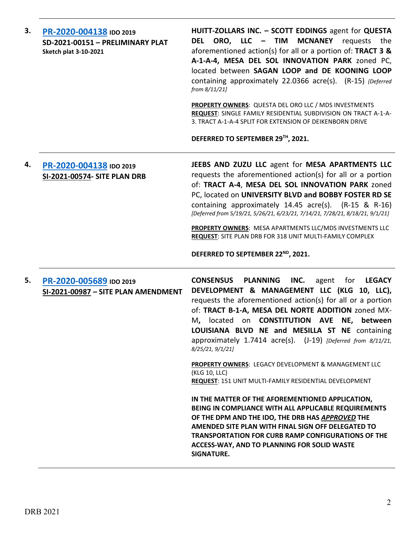| 3. | PR-2020-004138 IDO 2019<br>SD-2021-00151 - PRELIMINARY PLAT<br><b>Sketch plat 3-10-2021</b> | HUITT-ZOLLARS INC. - SCOTT EDDINGS agent for QUESTA<br>ORO, LLC - TIM<br><b>MCNANEY</b> requests<br>DEL<br>the<br>aforementioned action(s) for all or a portion of: TRACT 3 &<br>A-1-A-4, MESA DEL SOL INNOVATION PARK zoned PC,<br>located between SAGAN LOOP and DE KOONING LOOP<br>containing approximately 22.0366 acre(s). (R-15) {Deferred<br>from 8/11/21]<br>PROPERTY OWNERS: QUESTA DEL ORO LLC / MDS INVESTMENTS<br>REQUEST: SINGLE FAMILY RESIDENTIAL SUBDIVISION ON TRACT A-1-A-<br>3. TRACT A-1-A-4 SPLIT FOR EXTENSION OF DEIKENBORN DRIVE<br>DEFERRED TO SEPTEMBER 29TH, 2021. |
|----|---------------------------------------------------------------------------------------------|-----------------------------------------------------------------------------------------------------------------------------------------------------------------------------------------------------------------------------------------------------------------------------------------------------------------------------------------------------------------------------------------------------------------------------------------------------------------------------------------------------------------------------------------------------------------------------------------------|
| 4. | PR-2020-004138 IDO 2019<br><b>SI-2021-00574- SITE PLAN DRB</b>                              | JEEBS AND ZUZU LLC agent for MESA APARTMENTS LLC<br>requests the aforementioned action(s) for all or a portion<br>of: TRACT A-4, MESA DEL SOL INNOVATION PARK zoned<br>PC, located on UNIVERSITY BLVD and BOBBY FOSTER RD SE<br>containing approximately 14.45 acre(s). (R-15 & R-16)<br>[Deferred from 5/19/21, 5/26/21, 6/23/21, 7/14/21, 7/28/21, 8/18/21, 9/1/21]<br>PROPERTY OWNERS: MESA APARTMENTS LLC/MDS INVESTMENTS LLC<br><b>REQUEST:</b> SITE PLAN DRB FOR 318 UNIT MULTI-FAMILY COMPLEX                                                                                          |
|    |                                                                                             | DEFERRED TO SEPTEMBER 22ND, 2021.                                                                                                                                                                                                                                                                                                                                                                                                                                                                                                                                                             |
| 5. | PR-2020-005689 IDO 2019<br>SI-2021-00987 - SITE PLAN AMENDMENT                              | <b>CONSENSUS</b><br><b>PLANNING</b><br>INC.<br><b>LEGACY</b><br>agent<br>for<br>DEVELOPMENT & MANAGEMENT LLC (KLG 10, LLC),<br>requests the aforementioned action(s) for all or a portion<br>of: TRACT B-1-A, MESA DEL NORTE ADDITION zoned MX-<br>M, located on CONSTITUTION AVE NE, between<br>LOUISIANA BLVD NE and MESILLA ST NE containing<br>approximately 1.7414 acre(s). (J-19) [Deferred from 8/11/21,<br>8/25/21, 9/1/21]                                                                                                                                                           |
|    |                                                                                             | <b>PROPERTY OWNERS: LEGACY DEVELOPMENT &amp; MANAGEMENT LLC</b><br>(KLG 10, LLC)<br>REQUEST: 151 UNIT MULTI-FAMILY RESIDENTIAL DEVELOPMENT                                                                                                                                                                                                                                                                                                                                                                                                                                                    |
|    |                                                                                             | IN THE MATTER OF THE AFOREMENTIONED APPLICATION,<br>BEING IN COMPLIANCE WITH ALL APPLICABLE REQUIREMENTS<br>OF THE DPM AND THE IDO, THE DRB HAS APPROVED THE<br>AMENDED SITE PLAN WITH FINAL SIGN OFF DELEGATED TO<br><b>TRANSPORTATION FOR CURB RAMP CONFIGURATIONS OF THE</b><br>ACCESS-WAY, AND TO PLANNING FOR SOLID WASTE<br>SIGNATURE.                                                                                                                                                                                                                                                  |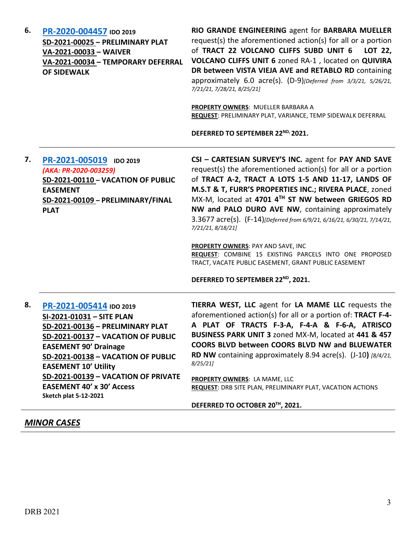| 6. | PR-2020-004457 IDO 2019<br>SD-2021-00025 - PRELIMINARY PLAT<br>VA-2021-00033 - WAIVER<br>VA-2021-00034 - TEMPORARY DEFERRAL<br><b>OF SIDEWALK</b>                                                                                                                                                                                              | RIO GRANDE ENGINEERING agent for BARBARA MUELLER<br>request(s) the aforementioned action(s) for all or a portion<br>of TRACT 22 VOLCANO CLIFFS SUBD UNIT 6<br>LOT 22,<br>VOLCANO CLIFFS UNIT 6 zoned RA-1, located on QUIVIRA<br>DR between VISTA VIEJA AVE and RETABLO RD containing<br>approximately 6.0 acre(s). (D-9)[Deferred from 3/3/21, 5/26/21,<br>7/21/21, 7/28/21, 8/25/21]<br>PROPERTY OWNERS: MUELLER BARBARA A<br>REQUEST: PRELIMINARY PLAT, VARIANCE, TEMP SIDEWALK DEFERRAL<br>DEFERRED TO SEPTEMBER 22 <sup>ND</sup> <sup>2021</sup> .                                                                                                          |
|----|------------------------------------------------------------------------------------------------------------------------------------------------------------------------------------------------------------------------------------------------------------------------------------------------------------------------------------------------|------------------------------------------------------------------------------------------------------------------------------------------------------------------------------------------------------------------------------------------------------------------------------------------------------------------------------------------------------------------------------------------------------------------------------------------------------------------------------------------------------------------------------------------------------------------------------------------------------------------------------------------------------------------|
| 7. | PR-2021-005019 IDO 2019<br>(AKA: PR-2020-003259)<br>SD-2021-00110 - VACATION OF PUBLIC<br><b>EASEMENT</b><br>SD-2021-00109 - PRELIMINARY/FINAL<br><b>PLAT</b>                                                                                                                                                                                  | CSI - CARTESIAN SURVEY'S INC. agent for PAY AND SAVE<br>request(s) the aforementioned action(s) for all or a portion<br>of TRACT A-2, TRACT A LOTS 1-5 AND 11-17, LANDS OF<br>M.S.T & T, FURR'S PROPERTIES INC.; RIVERA PLACE, zoned<br>MX-M, located at 4701 4TH ST NW between GRIEGOS RD<br>NW and PALO DURO AVE NW, containing approximately<br>3.3677 acre(s). (F-14)[Deferred from 6/9/21, 6/16/21, 6/30/21, 7/14/21,<br>7/21/21, 8/18/21]<br><b>PROPERTY OWNERS: PAY AND SAVE, INC</b><br>REQUEST: COMBINE 15 EXISTING PARCELS INTO ONE PROPOSED<br>TRACT, VACATE PUBLIC EASEMENT, GRANT PUBLIC EASEMENT<br>DEFERRED TO SEPTEMBER 22 <sup>ND</sup> , 2021. |
| 8. | PR-2021-005414 IDO 2019<br>SI-2021-01031 - SITE PLAN<br>SD-2021-00136 - PRELIMINARY PLAT<br>SD-2021-00137 - VACATION OF PUBLIC<br><b>EASEMENT 90' Drainage</b><br>SD-2021-00138 - VACATION OF PUBLIC<br><b>EASEMENT 10' Utility</b><br>SD-2021-00139 - VACATION OF PRIVATE<br><b>EASEMENT 40' x 30' Access</b><br><b>Sketch plat 5-12-2021</b> | TIERRA WEST, LLC agent for LA MAME LLC requests the<br>aforementioned action(s) for all or a portion of: TRACT F-4-<br>A PLAT OF TRACTS F-3-A, F-4-A & F-6-A, ATRISCO<br>BUSINESS PARK UNIT 3 zoned MX-M, located at 441 & 457<br><b>COORS BLVD between COORS BLVD NW and BLUEWATER</b><br><b>RD NW</b> containing approximately 8.94 acre(s). $(1-10)$ [8/4/21,<br>8/25/21<br>PROPERTY OWNERS: LA MAME, LLC<br><b>REQUEST: DRB SITE PLAN, PRELIMINARY PLAT, VACATION ACTIONS</b>                                                                                                                                                                                |
|    |                                                                                                                                                                                                                                                                                                                                                | DEFERRED TO OCTOBER 20TH, 2021.                                                                                                                                                                                                                                                                                                                                                                                                                                                                                                                                                                                                                                  |

# *MINOR CASES*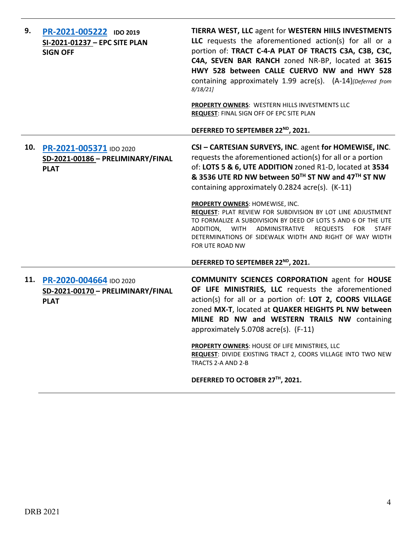| 9.  | PR-2021-005222 IDO 2019<br>SI-2021-01237 - EPC SITE PLAN<br><b>SIGN OFF</b> | TIERRA WEST, LLC agent for WESTERN HIILS INVESTMENTS<br>LLC requests the aforementioned action(s) for all or a<br>portion of: TRACT C-4-A PLAT OF TRACTS C3A, C3B, C3C,<br>C4A, SEVEN BAR RANCH zoned NR-BP, located at 3615<br>HWY 528 between CALLE CUERVO NW and HWY 528<br>containing approximately 1.99 acre(s). (A-14)[Deferred from<br>8/18/21<br>PROPERTY OWNERS: WESTERN HILLS INVESTMENTS LLC<br>REQUEST: FINAL SIGN OFF OF EPC SITE PLAN |
|-----|-----------------------------------------------------------------------------|-----------------------------------------------------------------------------------------------------------------------------------------------------------------------------------------------------------------------------------------------------------------------------------------------------------------------------------------------------------------------------------------------------------------------------------------------------|
|     |                                                                             | DEFERRED TO SEPTEMBER 22 <sup>ND</sup> , 2021.                                                                                                                                                                                                                                                                                                                                                                                                      |
| 10. | PR-2021-005371 IDO 2020<br>SD-2021-00186 - PRELIMINARY/FINAL<br><b>PLAT</b> | CSI - CARTESIAN SURVEYS, INC. agent for HOMEWISE, INC.<br>requests the aforementioned action(s) for all or a portion<br>of: LOTS 5 & 6, UTE ADDITION zoned R1-D, located at 3534<br>& 3536 UTE RD NW between 50TH ST NW and 47TH ST NW<br>containing approximately 0.2824 acre(s). (K-11)                                                                                                                                                           |
|     |                                                                             | PROPERTY OWNERS: HOMEWISE, INC.<br>REQUEST: PLAT REVIEW FOR SUBDIVISION BY LOT LINE ADJUSTMENT<br>TO FORMALIZE A SUBDIVISION BY DEED OF LOTS 5 AND 6 OF THE UTE<br>ADMINISTRATIVE<br><b>STAFF</b><br>ADDITION,<br>WITH<br><b>REQUESTS</b><br><b>FOR</b><br>DETERMINATIONS OF SIDEWALK WIDTH AND RIGHT OF WAY WIDTH<br>FOR UTE ROAD NW                                                                                                               |
|     |                                                                             | DEFERRED TO SEPTEMBER 22 <sup>ND</sup> , 2021.                                                                                                                                                                                                                                                                                                                                                                                                      |
| 11. | PR-2020-004664 IDO 2020<br>SD-2021-00170 - PRELIMINARY/FINAL<br><b>PLAT</b> | <b>COMMUNITY SCIENCES CORPORATION agent for HOUSE</b><br>OF LIFE MINISTRIES, LLC requests the aforementioned<br>action(s) for all or a portion of: LOT 2, COORS VILLAGE<br>zoned MX-T, located at QUAKER HEIGHTS PL NW between<br>MILNE RD NW and WESTERN TRAILS NW containing<br>approximately 5.0708 acre(s). (F-11)                                                                                                                              |
|     |                                                                             | <b>PROPERTY OWNERS: HOUSE OF LIFE MINISTRIES, LLC</b><br>REQUEST: DIVIDE EXISTING TRACT 2, COORS VILLAGE INTO TWO NEW<br>TRACTS 2-A AND 2-B                                                                                                                                                                                                                                                                                                         |
|     |                                                                             | DEFERRED TO OCTOBER 27TH, 2021.                                                                                                                                                                                                                                                                                                                                                                                                                     |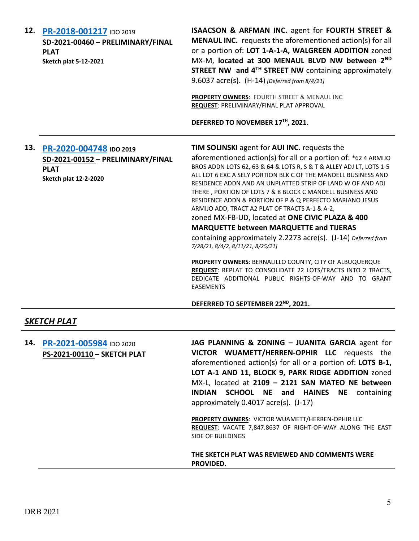| 12. | PR-2018-001217 IDO 2019<br>SD-2021-00460 - PRELIMINARY/FINAL<br><b>PLAT</b><br><b>Sketch plat 5-12-2021</b>     | ISAACSON & ARFMAN INC. agent for FOURTH STREET &<br><b>MENAUL INC.</b> requests the aforementioned action(s) for all<br>or a portion of: LOT 1-A-1-A, WALGREEN ADDITION zoned<br>MX-M, located at 300 MENAUL BLVD NW between 2ND<br>STREET NW and 4 <sup>TH</sup> STREET NW containing approximately<br>9.6037 acre(s). (H-14) [Deferred from 8/4/21]<br>PROPERTY OWNERS: FOURTH STREET & MENAUL INC<br>REQUEST: PRELIMINARY/FINAL PLAT APPROVAL<br>DEFERRED TO NOVEMBER 17TH, 2021.                                                                                                                                                                                                                                                                                                                                                                                                                                        |
|-----|-----------------------------------------------------------------------------------------------------------------|-----------------------------------------------------------------------------------------------------------------------------------------------------------------------------------------------------------------------------------------------------------------------------------------------------------------------------------------------------------------------------------------------------------------------------------------------------------------------------------------------------------------------------------------------------------------------------------------------------------------------------------------------------------------------------------------------------------------------------------------------------------------------------------------------------------------------------------------------------------------------------------------------------------------------------|
|     | 13. PR-2020-004748 IDO 2019<br>SD-2021-00152 - PRELIMINARY/FINAL<br><b>PLAT</b><br><b>Sketch plat 12-2-2020</b> | TIM SOLINSKI agent for AUI INC. requests the<br>aforementioned action(s) for all or a portion of: *62 4 ARMIJO<br>BROS ADDN LOTS 62, 63 & 64 & LOTS R, S & T & ALLEY ADJ LT, LOTS 1-5<br>ALL LOT 6 EXC A SELY PORTION BLK C OF THE MANDELL BUSINESS AND<br>RESIDENCE ADDN AND AN UNPLATTED STRIP OF LAND W OF AND ADJ<br>THERE, PORTION OF LOTS 7 & 8 BLOCK C MANDELL BUSINESS AND<br>RESIDENCE ADDN & PORTION OF P & Q PERFECTO MARIANO JESUS<br>ARMIJO ADD, TRACT A2 PLAT OF TRACTS A-1 & A-2,<br>zoned MX-FB-UD, located at ONE CIVIC PLAZA & 400<br><b>MARQUETTE between MARQUETTE and TIJERAS</b><br>containing approximately 2.2273 acre(s). (J-14) Deferred from<br>7/28/21, 8/4/2, 8/11/21, 8/25/21]<br><b>PROPERTY OWNERS: BERNALILLO COUNTY, CITY OF ALBUQUERQUE</b><br>REQUEST: REPLAT TO CONSOLIDATE 22 LOTS/TRACTS INTO 2 TRACTS,<br>DEDICATE ADDITIONAL PUBLIC RIGHTS-OF-WAY AND TO GRANT<br><b>EASEMENTS</b> |
|     |                                                                                                                 | DEFERRED TO SEPTEMBER 22 <sup>ND</sup> , 2021.                                                                                                                                                                                                                                                                                                                                                                                                                                                                                                                                                                                                                                                                                                                                                                                                                                                                              |
|     | <b>SKETCH PLAT</b>                                                                                              |                                                                                                                                                                                                                                                                                                                                                                                                                                                                                                                                                                                                                                                                                                                                                                                                                                                                                                                             |
| 14. | PR-2021-005984 IDO 2020<br>PS-2021-00110 - SKETCH PLAT                                                          | JAG PLANNING & ZONING - JUANITA GARCIA agent for<br>VICTOR WUAMETT/HERREN-OPHIR LLC requests the<br>aforementioned action(s) for all or a portion of: LOTS B-1,<br>LOT A-1 AND 11, BLOCK 9, PARK RIDGE ADDITION zoned<br>MX-L, located at 2109 - 2121 SAN MATEO NE between<br><b>SCHOOL NE and HAINES NE containing</b><br><b>INDIAN</b><br>approximately 0.4017 acre(s). (J-17)<br>PROPERTY OWNERS: VICTOR WUAMETT/HERREN-OPHIR LLC<br>REQUEST: VACATE 7,847.8637 OF RIGHT-OF-WAY ALONG THE EAST<br>SIDE OF BUILDINGS                                                                                                                                                                                                                                                                                                                                                                                                      |

**THE SKETCH PLAT WAS REVIEWED AND COMMENTS WERE PROVIDED.**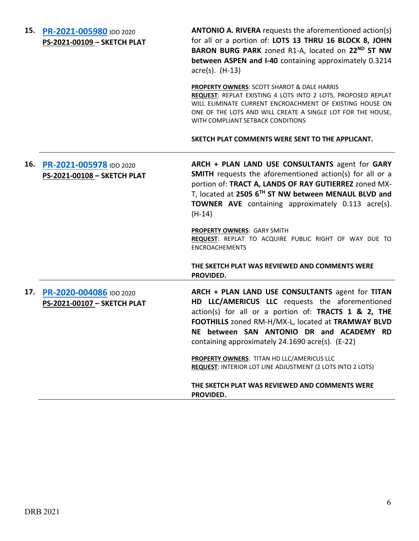| 15. PR-2021-005980 IDO 2020<br>PS-2021-00109 - SKETCH PLAT | <b>ANTONIO A. RIVERA</b> requests the aforementioned action(s)<br>for all or a portion of: LOTS 13 THRU 16 BLOCK 8, JOHN<br>BARON BURG PARK zoned R1-A, located on 22 <sup>ND</sup> ST NW<br>between ASPEN and I-40 containing approximately 0.3214<br>$\arccos(5)$ . (H-13)                                                                                                                                |
|------------------------------------------------------------|-------------------------------------------------------------------------------------------------------------------------------------------------------------------------------------------------------------------------------------------------------------------------------------------------------------------------------------------------------------------------------------------------------------|
|                                                            | <b>PROPERTY OWNERS: SCOTT SHAROT &amp; DALE HARRIS</b><br>REQUEST: REPLAT EXISTING 4 LOTS INTO 2 LOTS, PROPOSED REPLAT<br>WILL ELIMINATE CURRENT ENCROACHMENT OF EXISTING HOUSE ON<br>ONE OF THE LOTS AND WILL CREATE A SINGLE LOT FOR THE HOUSE,<br>WITH COMPLIANT SETBACK CONDITIONS                                                                                                                      |
|                                                            | SKETCH PLAT COMMENTS WERE SENT TO THE APPLICANT.                                                                                                                                                                                                                                                                                                                                                            |
| 16. PR-2021-005978 IDO 2020<br>PS-2021-00108 - SKETCH PLAT | ARCH + PLAN LAND USE CONSULTANTS agent for GARY<br><b>SMITH</b> requests the aforementioned action(s) for all or a<br>portion of: TRACT A, LANDS OF RAY GUTIERREZ zoned MX-<br>T, located at 2505 6TH ST NW between MENAUL BLVD and<br><b>TOWNER AVE</b> containing approximately 0.113 acre(s).<br>$(H-14)$<br><b>PROPERTY OWNERS: GARY SMITH</b><br>REQUEST: REPLAT TO ACQUIRE PUBLIC RIGHT OF WAY DUE TO |
|                                                            | <b>ENCROACHEMENTS</b>                                                                                                                                                                                                                                                                                                                                                                                       |
|                                                            | THE SKETCH PLAT WAS REVIEWED AND COMMENTS WERE<br>PROVIDED.                                                                                                                                                                                                                                                                                                                                                 |
| 17. PR-2020-004086 IDO 2020<br>PS-2021-00107 - SKETCH PLAT | ARCH + PLAN LAND USE CONSULTANTS agent for TITAN<br>HD LLC/AMERICUS LLC requests the aforementioned<br>action(s) for all or a portion of: TRACTS 1 & 2, THE<br>FOOTHILLS zoned RM-H/MX-L, located at TRAMWAY BLVD<br>NE between SAN ANTONIO DR and ACADEMY RD<br>containing approximately 24.1690 acre(s). (E-22)                                                                                           |
|                                                            | PROPERTY OWNERS: TITAN HD LLC/AMERICUS LLC<br><b>REQUEST: INTERIOR LOT LINE ADJUSTMENT (2 LOTS INTO 2 LOTS)</b>                                                                                                                                                                                                                                                                                             |
|                                                            | THE SKETCH PLAT WAS REVIEWED AND COMMENTS WERE<br>PROVIDED.                                                                                                                                                                                                                                                                                                                                                 |